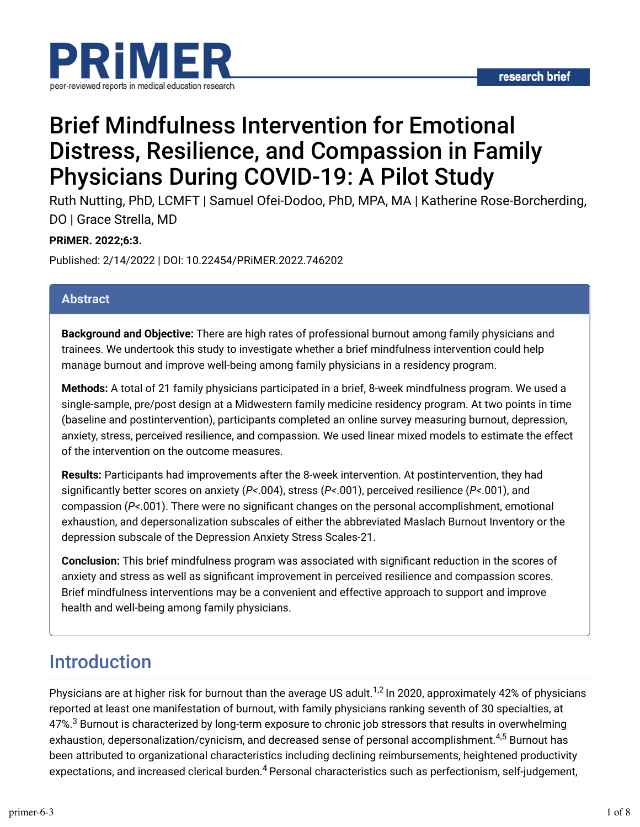

# Brief Mindfulness Intervention for Emotional Distress, Resilience, and Compassion in Family Physicians During COVID-19: A Pilot Study

Ruth Nutting, PhD, LCMFT | Samuel Ofei-Dodoo, PhD, MPA, MA | Katherine Rose-Borcherding, DO | Grace Strella, MD

#### **PRiMER. 2022;6:3.**

Published: 2/14/2022 | DOI: 10.22454/PRiMER.2022.746202

#### **Abstract**

**Background and Objective:** There are high rates of professional burnout among family physicians and trainees. We undertook this study to investigate whether a brief mindfulness intervention could help manage burnout and improve well-being among family physicians in a residency program.

**Methods:** A total of 21 family physicians participated in a brief, 8-week mindfulness program. We used a single-sample, pre/post design at a Midwestern family medicine residency program. At two points in time (baseline and postintervention), participants completed an online survey measuring burnout, depression, anxiety, stress, perceived resilience, and compassion. We used linear mixed models to estimate the effect of the intervention on the outcome measures.

**Results:** Participants had improvements after the 8-week intervention. At postintervention, they had significantly better scores on anxiety (*P<*.004), stress (*P<*.001), perceived resilience (*P<*.001), and compassion (P<.001). There were no significant changes on the personal accomplishment, emotional exhaustion, and depersonalization subscales of either the abbreviated Maslach Burnout Inventory or the depression subscale of the Depression Anxiety Stress Scales-21.

**Conclusion:** This brief mindfulness program was associated with significant reduction in the scores of anxiety and stress as well as significant improvement in perceived resilience and compassion scores. Brief mindfulness interventions may be a convenient and effective approach to support and improve health and well-being among family physicians.

### Introduction

Physicians are at higher risk for burnout than the average US adult.<sup>1,2</sup> In 2020, approximately 42% of physicians reported at least one manifestation of burnout, with family physicians ranking seventh of 30 specialties, at 47%. $^3$  Burnout is characterized by long-term exposure to chronic job stressors that results in overwhelming exhaustion, depersonalization/cynicism, and decreased sense of personal accomplishment.<sup>4,5</sup> Burnout has been attributed to organizational characteristics including declining reimbursements, heightened productivity expectations, and increased clerical burden.<sup>4</sup> Personal characteristics such as perfectionism, self-judgement,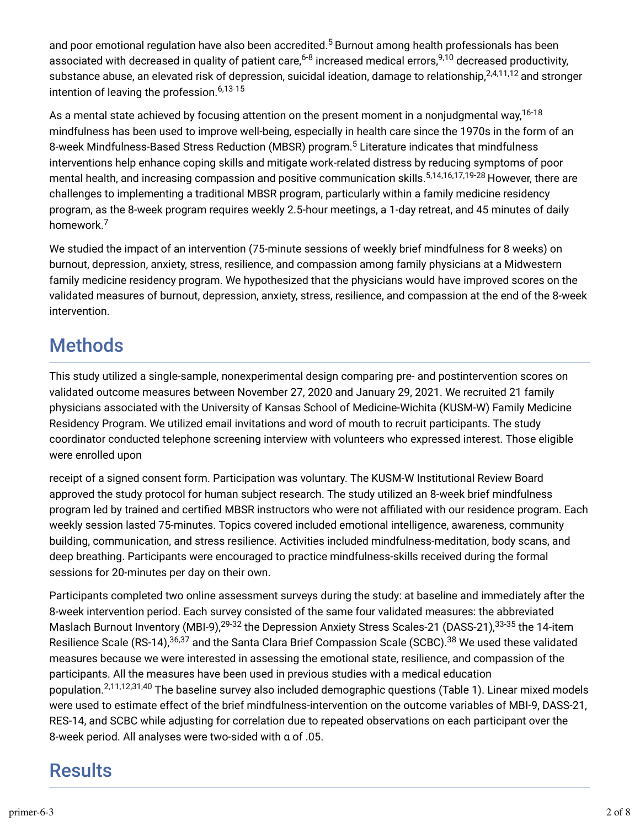and poor emotional regulation have also been accredited. $^5$  Burnout among health professionals has been associated with decreased in quality of patient care,<sup>6-8</sup> increased medical errors,<sup>9,10</sup> decreased productivity, substance abuse, an elevated risk of depression, suicidal ideation, damage to relationship,<sup>2,4,11,12</sup> and stronger intention of leaving the profession. 6,13-15

As a mental state achieved by focusing attention on the present moment in a nonjudgmental way,<sup>16-18</sup> mindfulness has been used to improve well-being, especially in health care since the 1970s in the form of an 8-week Mindfulness-Based Stress Reduction (MBSR) program.<sup>5</sup> Literature indicates that mindfulness interventions help enhance coping skills and mitigate work-related distress by reducing symptoms of poor mental health, and increasing compassion and positive communication skills.<sup>5,14,16,17,19-28</sup> However, there are challenges to implementing a traditional MBSR program, particularly within a family medicine residency program, as the 8-week program requires weekly 2.5-hour meetings, a 1-day retreat, and 45 minutes of daily homework. 7

We studied the impact of an intervention (75-minute sessions of weekly brief mindfulness for 8 weeks) on burnout, depression, anxiety, stress, resilience, and compassion among family physicians at a Midwestern family medicine residency program. We hypothesized that the physicians would have improved scores on the validated measures of burnout, depression, anxiety, stress, resilience, and compassion at the end of the 8-week intervention.

# **Methods**

This study utilized a single-sample, nonexperimental design comparing pre- and postintervention scores on validated outcome measures between November 27, 2020 and January 29, 2021. We recruited 21 family physicians associated with the University of Kansas School of Medicine-Wichita (KUSM-W) Family Medicine Residency Program. We utilized email invitations and word of mouth to recruit participants. The study coordinator conducted telephone screening interview with volunteers who expressed interest. Those eligible were enrolled upon

receipt of a signed consent form. Participation was voluntary. The KUSM-W Institutional Review Board approved the study protocol for human subject research. The study utilized an 8-week brief mindfulness program led by trained and certified MBSR instructors who were not affiliated with our residence program. Each weekly session lasted 75-minutes. Topics covered included emotional intelligence, awareness, community building, communication, and stress resilience. Activities included mindfulness-meditation, body scans, and deep breathing. Participants were encouraged to practice mindfulness-skills received during the formal sessions for 20-minutes per day on their own.

Participants completed two online assessment surveys during the study: at baseline and immediately after the 8-week intervention period. Each survey consisted of the same four validated measures: the abbreviated Maslach Burnout Inventory (MBI-9),<sup>29-32</sup> the Depression Anxiety Stress Scales-21 (DASS-21),<sup>33-35</sup> the 14-item Resilience Scale (RS-14),<sup>36,37</sup> and the Santa Clara Brief Compassion Scale (SCBC).<sup>38</sup> We used these validated measures because we were interested in assessing the emotional state, resilience, and compassion of the participants. All the measures have been used in previous studies with a medical education population.<sup>2,11,12,31,40</sup> The baseline survey also included demographic questions (Table 1). Linear mixed models were used to estimate effect of the brief mindfulness-intervention on the outcome variables of MBI-9, DASS-21, RES-14, and SCBC while adjusting for correlation due to repeated observations on each participant over the 8-week period. All analyses were two-sided with α of .05.

# **Results**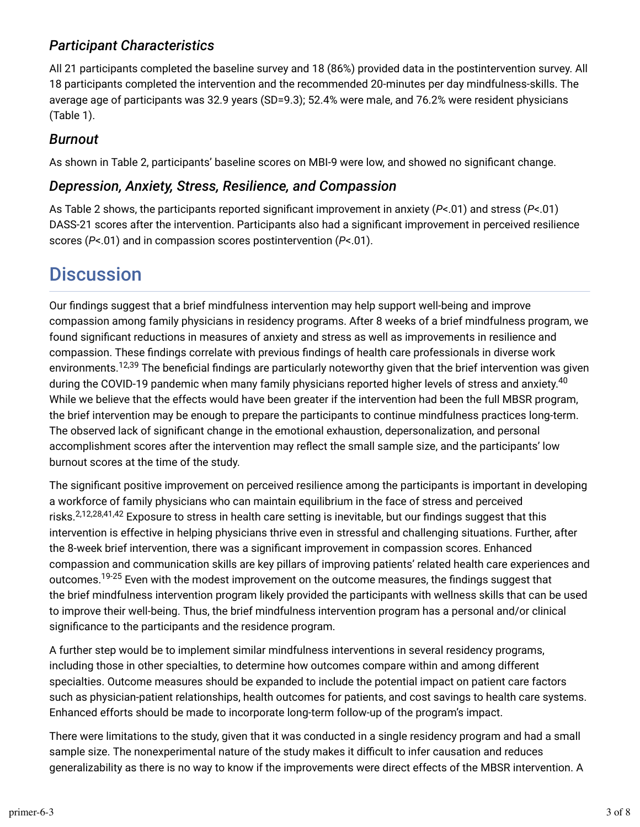### *Participant Characteristics*

All 21 participants completed the baseline survey and 18 (86%) provided data in the postintervention survey. All 18 participants completed the intervention and the recommended 20-minutes per day mindfulness-skills. The average age of participants was 32.9 years (SD=9.3); 52.4% were male, and 76.2% were resident physicians (Table 1).

### *Burnout*

As shown in Table 2, participants' baseline scores on MBI-9 were low, and showed no significant change.

### *Depression, Anxiety, Stress, Resilience, and Compassion*

As Table 2 shows, the participants reported significant improvement in anxiety (*P*<.01) and stress (*P*<.01) DASS-21 scores after the intervention. Participants also had a significant improvement in perceived resilience scores (*P*<.01) and in compassion scores postintervention (*P*<.01).

# **Discussion**

Our findings suggest that a brief mindfulness intervention may help support well-being and improve compassion among family physicians in residency programs. After 8 weeks of a brief mindfulness program, we found significant reductions in measures of anxiety and stress as well as improvements in resilience and compassion. These findings correlate with previous findings of health care professionals in diverse work environments.<sup>12,39</sup> The beneficial findings are particularly noteworthy given that the brief intervention was given during the COVID-19 pandemic when many family physicians reported higher levels of stress and anxiety.<sup>40</sup> While we believe that the effects would have been greater if the intervention had been the full MBSR program, the brief intervention may be enough to prepare the participants to continue mindfulness practices long-term. The observed lack of significant change in the emotional exhaustion, depersonalization, and personal accomplishment scores after the intervention may reflect the small sample size, and the participants' low burnout scores at the time of the study.

The significant positive improvement on perceived resilience among the participants is important in developing a workforce of family physicians who can maintain equilibrium in the face of stress and perceived risks.<sup>2,12,28,41,42</sup> Exposure to stress in health care setting is inevitable, but our findings suggest that this intervention is effective in helping physicians thrive even in stressful and challenging situations. Further, after the 8-week brief intervention, there was a significant improvement in compassion scores. Enhanced compassion and communication skills are key pillars of improving patients' related health care experiences and outcomes.<sup>19-25</sup> Even with the modest improvement on the outcome measures, the findings suggest that the brief mindfulness intervention program likely provided the participants with wellness skills that can be used to improve their well-being. Thus, the brief mindfulness intervention program has a personal and/or clinical significance to the participants and the residence program.

A further step would be to implement similar mindfulness interventions in several residency programs, including those in other specialties, to determine how outcomes compare within and among different specialties. Outcome measures should be expanded to include the potential impact on patient care factors such as physician-patient relationships, health outcomes for patients, and cost savings to health care systems. Enhanced efforts should be made to incorporate long-term follow-up of the program's impact.

There were limitations to the study, given that it was conducted in a single residency program and had a small sample size. The nonexperimental nature of the study makes it difficult to infer causation and reduces generalizability as there is no way to know if the improvements were direct effects of the MBSR intervention. A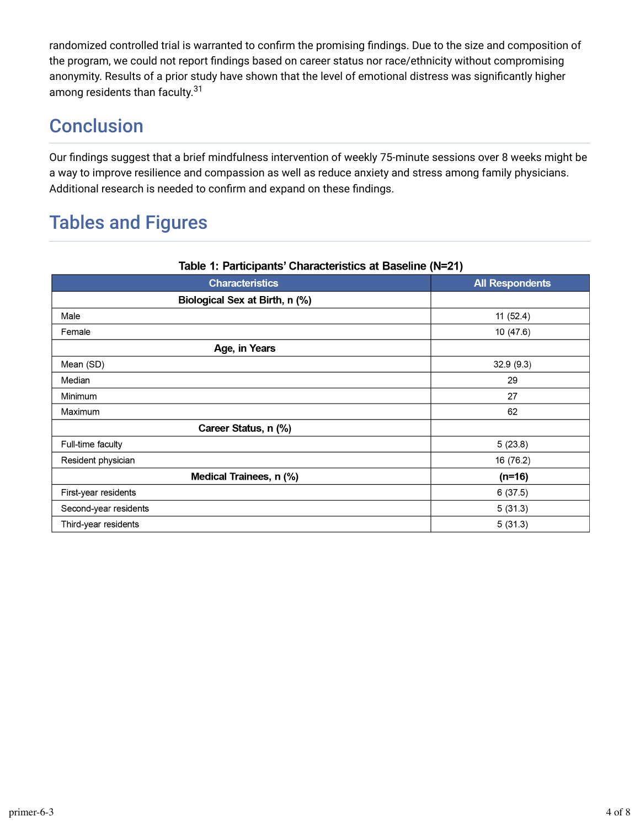randomized controlled trial is warranted to confirm the promising findings. Due to the size and composition of the program, we could not report findings based on career status nor race/ethnicity without compromising anonymity. Results of a prior study have shown that the level of emotional distress was significantly higher among residents than faculty.<sup>31</sup>

# **Conclusion**

Our findings suggest that a brief mindfulness intervention of weekly 75-minute sessions over 8 weeks might be a way to improve resilience and compassion as well as reduce anxiety and stress among family physicians. Additional research is needed to confirm and expand on these findings.

# Tables and Figures

| Table 1: Participants' Unaracteristics at Baseline (N=21) |                        |  |  |  |
|-----------------------------------------------------------|------------------------|--|--|--|
| <b>Characteristics</b>                                    | <b>All Respondents</b> |  |  |  |
| Biological Sex at Birth, n (%)                            |                        |  |  |  |
| Male                                                      | 11(52.4)               |  |  |  |
| Female                                                    | 10(47.6)               |  |  |  |
| Age, in Years                                             |                        |  |  |  |
| Mean (SD)                                                 | 32.9 (9.3)             |  |  |  |
| Median                                                    | 29                     |  |  |  |
| Minimum                                                   | 27                     |  |  |  |
| Maximum                                                   | 62                     |  |  |  |
| Career Status, n (%)                                      |                        |  |  |  |
| Full-time faculty                                         | 5(23.8)                |  |  |  |
| Resident physician                                        | 16 (76.2)              |  |  |  |
| Medical Trainees, n (%)                                   | $(n=16)$               |  |  |  |
| First-year residents                                      | 6(37.5)                |  |  |  |
| Second-year residents                                     | 5(31.3)                |  |  |  |
| Third-year residents                                      | 5(31.3)                |  |  |  |

#### Toble 4: Deutsinente! Characteristics of Pesaline (N-94)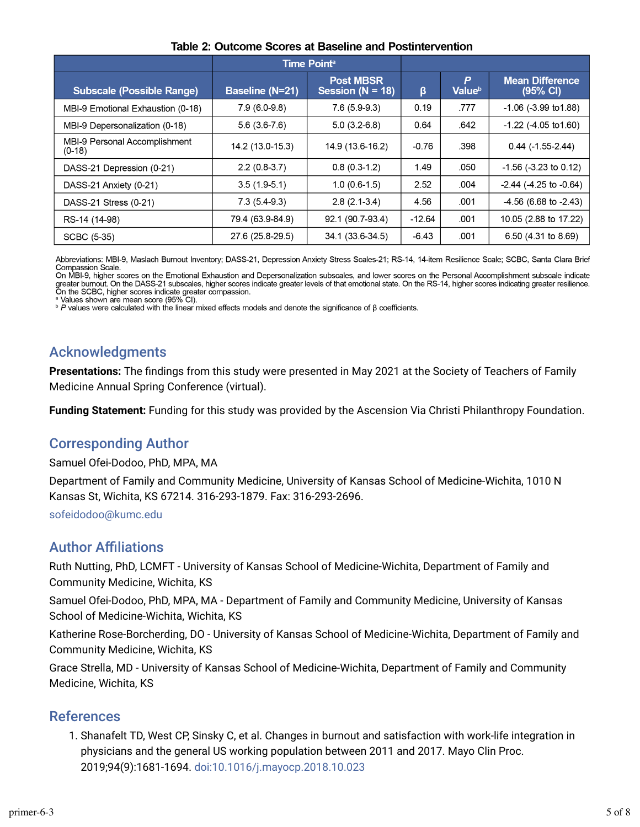|                                           | <b>Time Pointa</b>     |                                          |          |                         |                                              |  |  |
|-------------------------------------------|------------------------|------------------------------------------|----------|-------------------------|----------------------------------------------|--|--|
| <b>Subscale (Possible Range)</b>          | <b>Baseline (N=21)</b> | <b>Post MBSR</b><br>Session ( $N = 18$ ) | β        | P<br>Value <sup>b</sup> | <b>Mean Difference</b><br>$(95% \text{ Cl})$ |  |  |
| MBI-9 Emotional Exhaustion (0-18)         | $7.9(6.0-9.8)$         | $7.6(5.9-9.3)$                           | 0.19     | .777                    | $-1.06$ ( $-3.99$ to 1.88)                   |  |  |
| MBI-9 Depersonalization (0-18)            | $5.6(3.6-7.6)$         | $5.0(3.2-6.8)$                           | 0.64     | .642                    | $-1.22$ ( $-4.05$ to 1.60)                   |  |  |
| MBI-9 Personal Accomplishment<br>$(0-18)$ | 14.2 (13.0-15.3)       | 14.9 (13.6-16.2)                         | $-0.76$  | .398                    | $0.44$ (-1.55-2.44)                          |  |  |
| DASS-21 Depression (0-21)                 | 2.2(0.837)             | 0.8(0.3.1.2)                             | 1.49     | .050                    | $-1.56$ ( $-3.23$ to 0.12)                   |  |  |
| DASS-21 Anxiety (0-21)                    | $3.5(1.9-5.1)$         | $1.0(0.6-1.5)$                           | 2.52     | .004                    | $-2.44$ ( $-4.25$ to $-0.64$ )               |  |  |
| DASS-21 Stress (0-21)                     | $7.3(5.4-9.3)$         | $2.8(2.1-3.4)$                           | 4.56     | .001                    | $-4.56$ (6.68 to $-2.43$ )                   |  |  |
| RS-14 (14-98)                             | 79.4 (63.9-84.9)       | 92.1 (90.7-93.4)                         | $-12.64$ | .001                    | 10.05 (2.88 to 17.22)                        |  |  |
| SCBC (5-35)                               | 27.6 (25.8-29.5)       | 34.1 (33.6-34.5)                         | $-6.43$  | .001                    | 6.50 (4.31 to 8.69)                          |  |  |

#### Table 2: Outcome Scores at Baseline and Postintervention

Abbreviations: MBI-9, Maslach Burnout Inventory; DASS-21, Depression Anxiety Stress Scales-21; RS-14, 14-item Resilience Scale; SCBC, Santa Clara Brief Compassion Scale.

On MBI-9, higher scores on the Emotional Exhaustion and Depersonalization subscales, and lower scores on the Personal Accomplishment subscale indicate on the SCBC, higher scores indicate greater compassion.<br>On the SCBC, higher scores indicate greater compassion.<br>On the SCBC, higher scores indicate greater compassion.

Values shown are mean score (95% CI).

**P** values were calculated with the linear mixed effects models and denote the significance of  $\beta$  coefficients.

### Acknowledgments

**Presentations:** The findings from this study were presented in May 2021 at the Society of Teachers of Family Medicine Annual Spring Conference (virtual).

**Funding Statement:** Funding for this study was provided by the Ascension Via Christi Philanthropy Foundation.

### Corresponding Author

Samuel Ofei-Dodoo, PhD, MPA, MA

Department of Family and Community Medicine, University of Kansas School of Medicine-Wichita, 1010 N Kansas St, Wichita, KS 67214. 316-293-1879. Fax: 316-293-2696.

[sofeidodoo@kumc.edu](mailto:sofeidodoo@kumc.edu)

### **Author Affiliations**

Ruth Nutting, PhD, LCMFT - University of Kansas School of Medicine-Wichita, Department of Family and Community Medicine, Wichita, KS

Samuel Ofei-Dodoo, PhD, MPA, MA - Department of Family and Community Medicine, University of Kansas School of Medicine-Wichita, Wichita, KS

Katherine Rose-Borcherding, DO - University of Kansas School of Medicine-Wichita, Department of Family and Community Medicine, Wichita, KS

Grace Strella, MD - University of Kansas School of Medicine-Wichita, Department of Family and Community Medicine, Wichita, KS

#### References

1. Shanafelt TD, West CP, Sinsky C, et al. Changes in burnout and satisfaction with work-life integration in physicians and the general US working population between 2011 and 2017. Mayo Clin Proc. 2019;94(9):1681-1694. [doi:10.1016/j.mayocp.2018.10.023](https://doi.org/10.1016/j.mayocp.2018.10.023)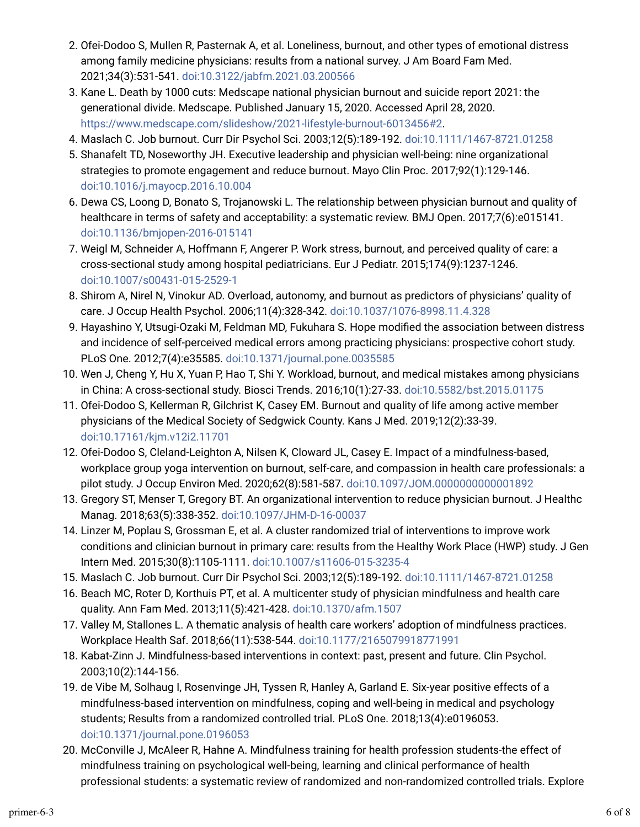- 2. Ofei-Dodoo S, Mullen R, Pasternak A, et al. Loneliness, burnout, and other types of emotional distress among family medicine physicians: results from a national survey. J Am Board Fam Med. 2021;34(3):531-541. [doi:10.3122/jabfm.2021.03.200566](https://doi.org/10.3122/jabfm.2021.03.200566)
- 3. Kane L. Death by 1000 cuts: Medscape national physician burnout and suicide report 2021: the generational divide. Medscape. Published January 15, 2020. Accessed April 28, 2020. <https://www.medscape.com/slideshow/2021-lifestyle-burnout-6013456#2>.
- 4. Maslach C. Job burnout. Curr Dir Psychol Sci. 2003;12(5):189-192. [doi:10.1111/1467-8721.01258](https://doi.org/10.1111/1467-8721.01258)
- 5. Shanafelt TD, Noseworthy JH. Executive leadership and physician well-being: nine organizational strategies to promote engagement and reduce burnout. Mayo Clin Proc. 2017;92(1):129-146. [doi:10.1016/j.mayocp.2016.10.004](https://doi.org/10.1016/j.mayocp.2016.10.004)
- o. Dewa CS, Loong D, Bonato S, Trojanowski L. The relationship between physician burnout and quality of healthcare in terms of safety and acceptability: a systematic review. BMJ Open. 2017;7(6):e015141. [doi:10.1136/bmjopen-2016-015141](https://doi.org/10.1136/bmjopen-2016-015141)
- 7. Weigl M, Schneider A, Hoffmann F, Angerer P. Work stress, burnout, and perceived quality of care: a cross-sectional study among hospital pediatricians. Eur J Pediatr. 2015;174(9):1237-1246. [doi:10.1007/s00431-015-2529-1](https://doi.org/10.1007/s00431-015-2529-1)
- p. Shirom A, Nirel N, Vinokur AD. Overload, autonomy, and burnout as predictors of physicians' quality of care. J Occup Health Psychol. 2006;11(4):328-342. [doi:10.1037/1076-8998.11.4.328](https://doi.org/10.1037/1076-8998.11.4.328)
- 9. Hayashino Y, Utsugi-Ozaki M, Feldman MD, Fukuhara S. Hope modified the association between distress and incidence of self-perceived medical errors among practicing physicians: prospective cohort study. PLoS One. 2012;7(4):e35585. [doi:10.1371/journal.pone.0035585](https://doi.org/10.1371/journal.pone.0035585)
- 10. Wen J, Cheng Y, Hu X, Yuan P, Hao T, Shi Y. Workload, burnout, and medical mistakes among physicians in China: A cross-sectional study. Biosci Trends. 2016;10(1):27-33. [doi:10.5582/bst.2015.01175](https://doi.org/10.5582/bst.2015.01175)
- 11. Ofei-Dodoo S, Kellerman R, Gilchrist K, Casey EM. Burnout and quality of life among active member physicians of the Medical Society of Sedgwick County. Kans J Med. 2019;12(2):33-39. [doi:10.17161/kjm.v12i2.11701](https://doi.org/10.17161/kjm.v12i2.11701)
- 12. Ofei-Dodoo S, Cleland-Leighton A, Nilsen K, Cloward JL, Casey E. Impact of a mindfulness-based, workplace group yoga intervention on burnout, self-care, and compassion in health care professionals: a pilot study. J Occup Environ Med. 2020;62(8):581-587. [doi:10.1097/JOM.0000000000001892](https://doi.org/10.1097/JOM.0000000000001892)
- 13. Gregory ST, Menser T, Gregory BT. An organizational intervention to reduce physician burnout. J Healthc Manag. 2018;63(5):338-352. [doi:10.1097/JHM-D-16-00037](https://doi.org/10.1097/JHM-D-16-00037)
- 14. Linzer M, Poplau S, Grossman E, et al. A cluster randomized trial of interventions to improve work conditions and clinician burnout in primary care: results from the Healthy Work Place (HWP) study. J Gen Intern Med. 2015;30(8):1105-1111. [doi:10.1007/s11606-015-3235-4](https://doi.org/10.1007/s11606-015-3235-4)
- 15. Maslach C. Job burnout. Curr Dir Psychol Sci. 2003;12(5):189-192. [doi:10.1111/1467-8721.01258](https://doi.org/10.1111/1467-8721.01258)
- 16. Beach MC, Roter D, Korthuis PT, et al. A multicenter study of physician mindfulness and health care quality. Ann Fam Med. 2013;11(5):421-428. [doi:10.1370/afm.1507](https://doi.org/10.1370/afm.1507)
- 17. Valley M, Stallones L. A thematic analysis of health care workers' adoption of mindfulness practices. Workplace Health Saf. 2018;66(11):538-544. [doi:10.1177/2165079918771991](https://doi.org/10.1177/2165079918771991)
- 18. Kabat-Zinn J. Mindfulness-based interventions in context: past, present and future. Clin Psychol. 2003;10(2):144-156.
- 19. de Vibe M, Solhaug I, Rosenvinge JH, Tyssen R, Hanley A, Garland E. Six-year positive effects of a mindfulness-based intervention on mindfulness, coping and well-being in medical and psychology students; Results from a randomized controlled trial. PLoS One. 2018;13(4):e0196053. [doi:10.1371/journal.pone.0196053](https://doi.org/10.1371/journal.pone.0196053)
- 20. McConville J, McAleer R, Hahne A. Mindfulness training for health profession students-the effect of mindfulness training on psychological well-being, learning and clinical performance of health professional students: a systematic review of randomized and non-randomized controlled trials. Explore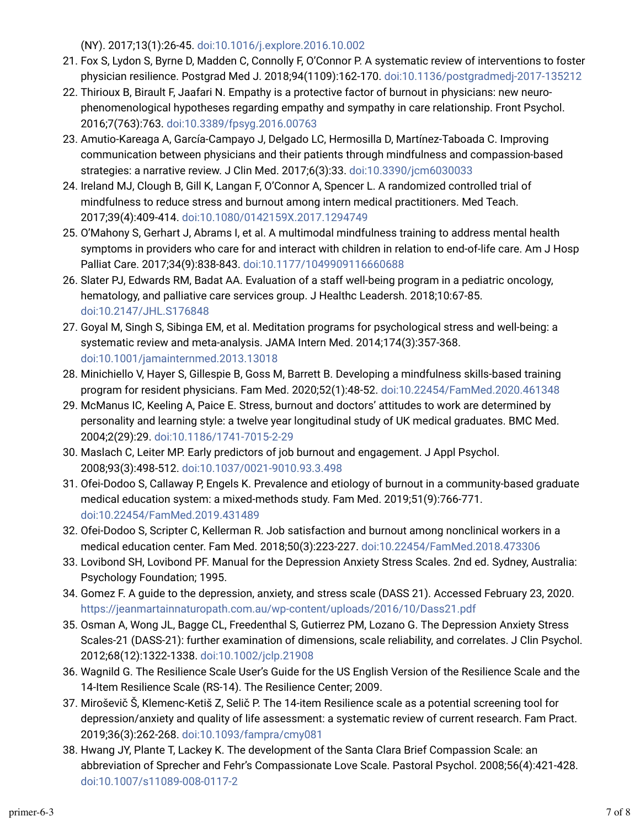(NY). 2017;13(1):26-45. [doi:10.1016/j.explore.2016.10.002](https://doi.org/10.1016/j.explore.2016.10.002)

- 21. Fox S, Lydon S, Byrne D, Madden C, Connolly F, O'Connor P. A systematic review of interventions to foster physician resilience. Postgrad Med J. 2018;94(1109):162-170. [doi:10.1136/postgradmedj-2017-135212](https://doi.org/10.1136/postgradmedj-2017-135212)
- 22. Thirioux B, Birault F, Jaafari N. Empathy is a protective factor of burnout in physicians: new neurophenomenological hypotheses regarding empathy and sympathy in care relationship. Front Psychol. 2016;7(763):763. [doi:10.3389/fpsyg.2016.00763](https://doi.org/10.3389/fpsyg.2016.00763)
- 23. Amutio-Kareaga A, García-Campayo J, Delgado LC, Hermosilla D, Martínez-Taboada C. Improving communication between physicians and their patients through mindfulness and compassion-based strategies: a narrative review. J Clin Med. 2017;6(3):33. [doi:10.3390/jcm6030033](https://doi.org/10.3390/jcm6030033)
- 24. Ireland MJ, Clough B, Gill K, Langan F, O'Connor A, Spencer L. A randomized controlled trial of mindfulness to reduce stress and burnout among intern medical practitioners. Med Teach. 2017;39(4):409-414. [doi:10.1080/0142159X.2017.1294749](https://doi.org/10.1080/0142159X.2017.1294749)
- 25. O'Mahony S, Gerhart J, Abrams I, et al. A multimodal mindfulness training to address mental health symptoms in providers who care for and interact with children in relation to end-of-life care. Am J Hosp Palliat Care. 2017;34(9):838-843. [doi:10.1177/1049909116660688](https://doi.org/10.1177/1049909116660688)
- 2o. Slater PJ, Edwards RM, Badat AA. Evaluation of a staff well-being program in a pediatric oncology, hematology, and palliative care services group. J Healthc Leadersh. 2018;10:67-85. [doi:10.2147/JHL.S176848](https://doi.org/10.2147/JHL.S176848)
- 27. Goyal M, Singh S, Sibinga EM, et al. Meditation programs for psychological stress and well-being: a systematic review and meta-analysis. JAMA Intern Med. 2014;174(3):357-368. [doi:10.1001/jamainternmed.2013.13018](https://doi.org/10.1001/jamainternmed.2013.13018)
- 28. Minichiello V, Hayer S, Gillespie B, Goss M, Barrett B. Developing a mindfulness skills-based training program for resident physicians. Fam Med. 2020;52(1):48-52. [doi:10.22454/FamMed.2020.461348](https://doi.org/10.22454/FamMed.2020.461348)
- 29. McManus IC, Keeling A, Paice E. Stress, burnout and doctors' attitudes to work are determined by personality and learning style: a twelve year longitudinal study of UK medical graduates. BMC Med. 2004;2(29):29. [doi:10.1186/1741-7015-2-29](https://doi.org/10.1186/1741-7015-2-29)
- 30. Maslach C, Leiter MP. Early predictors of job burnout and engagement. J Appl Psychol. 2008;93(3):498-512. [doi:10.1037/0021-9010.93.3.498](https://doi.org/10.1037/0021-9010.93.3.498)
- 31. Ofei-Dodoo S, Callaway P, Engels K. Prevalence and etiology of burnout in a community-based graduate medical education system: a mixed-methods study. Fam Med. 2019;51(9):766-771. [doi:10.22454/FamMed.2019.431489](https://doi.org/10.22454/FamMed.2019.431489)
- 32. Ofei-Dodoo S, Scripter C, Kellerman R. Job satisfaction and burnout among nonclinical workers in a medical education center. Fam Med. 2018;50(3):223-227. [doi:10.22454/FamMed.2018.473306](https://doi.org/10.22454/FamMed.2018.473306)
- 33. Lovibond SH, Lovibond PF. Manual for the Depression Anxiety Stress Scales. 2nd ed. Sydney, Australia: Psychology Foundation; 1995.
- 34. Gomez F. A guide to the depression, anxiety, and stress scale (DASS 21). Accessed February 23, 2020. <https://jeanmartainnaturopath.com.au/wp-content/uploads/2016/10/Dass21.pdf>
- 35. Osman A, Wong JL, Bagge CL, Freedenthal S, Gutierrez PM, Lozano G. The Depression Anxiety Stress Scales-21 (DASS-21): further examination of dimensions, scale reliability, and correlates. J Clin Psychol. 2012;68(12):1322-1338. [doi:10.1002/jclp.21908](https://doi.org/10.1002/jclp.21908)
- 3o. Wagnild G. The Resilience Scale User's Guide for the US English Version of the Resilience Scale and the 14-Item Resilience Scale (RS-14). The Resilience Center; 2009.
- 37. Miroševič Š, Klemenc-Ketiš Z, Selič P. The 14-item Resilience scale as a potential screening tool for depression/anxiety and quality of life assessment: a systematic review of current research. Fam Pract. 2019;36(3):262-268. [doi:10.1093/fampra/cmy081](https://doi.org/10.1093/fampra/cmy081)
- 38. Hwang JY, Plante T, Lackey K. The development of the Santa Clara Brief Compassion Scale: an abbreviation of Sprecher and Fehr's Compassionate Love Scale. Pastoral Psychol. 2008;56(4):421-428. [doi:10.1007/s11089-008-0117-2](https://doi.org/10.1007/s11089-008-0117-2)